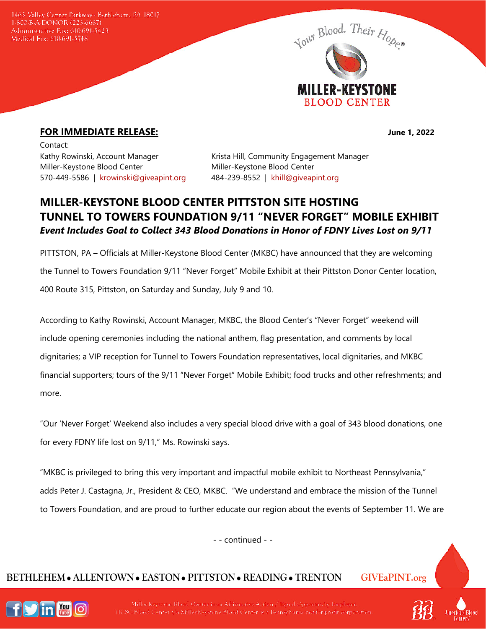1465 Valley Center Parkway · Bethlehem, PA 18017 1-800-B-A-DONOR (223-6667) Administrative Fax: 610-691-5423 Medical Fax: 610-691-5748



## **FOR IMMEDIATE RELEASE: June 1, 2022**

Contact: Miller-Keystone Blood Center Miller-Keystone Blood Center 570-449-5586 | [krowinski@giveapint.org](mailto:krowinski@giveapint.org) 484-239-8552 | [khill@giveapint.org](mailto:khill@giveapint.org)

Kathy Rowinski, Account Manager Krista Hill, Community Engagement Manager

## **MILLER-KEYSTONE BLOOD CENTER PITTSTON SITE HOSTING TUNNEL TO TOWERS FOUNDATION 9/11 "NEVER FORGET" MOBILE EXHIBIT** *Event Includes Goal to Collect 343 Blood Donations in Honor of FDNY Lives Lost on 9/11*

PITTSTON, PA – Officials at Miller-Keystone Blood Center (MKBC) have announced that they are welcoming the Tunnel to Towers Foundation 9/11 "Never Forget" Mobile Exhibit at their Pittston Donor Center location, 400 Route 315, Pittston, on Saturday and Sunday, July 9 and 10.

According to Kathy Rowinski, Account Manager, MKBC, the Blood Center's "Never Forget" weekend will include opening ceremonies including the national anthem, flag presentation, and comments by local dignitaries; a VIP reception for Tunnel to Towers Foundation representatives, local dignitaries, and MKBC financial supporters; tours of the 9/11 "Never Forget" Mobile Exhibit; food trucks and other refreshments; and more.

"Our 'Never Forget' Weekend also includes a very special blood drive with a goal of 343 blood donations, one for every FDNY life lost on 9/11," Ms. Rowinski says.

"MKBC is privileged to bring this very important and impactful mobile exhibit to Northeast Pennsylvania," adds Peter J. Castagna, Jr., President & CEO, MKBC. "We understand and embrace the mission of the Tunnel to Towers Foundation, and are proud to further educate our region about the events of September 11. We are

- - continued - -

## **BETHLEHEM ALLENTOWN EASTON PITTSTON READING TRENTON GIVEaPINT.org**



Miller-Keystone Blood Center is an Affirmative Action / Equal Opportunity Employer. HCSC/Blood Center t/a Miller-Keystene Blood Center is a Pennsylvania not-for-profit corporation